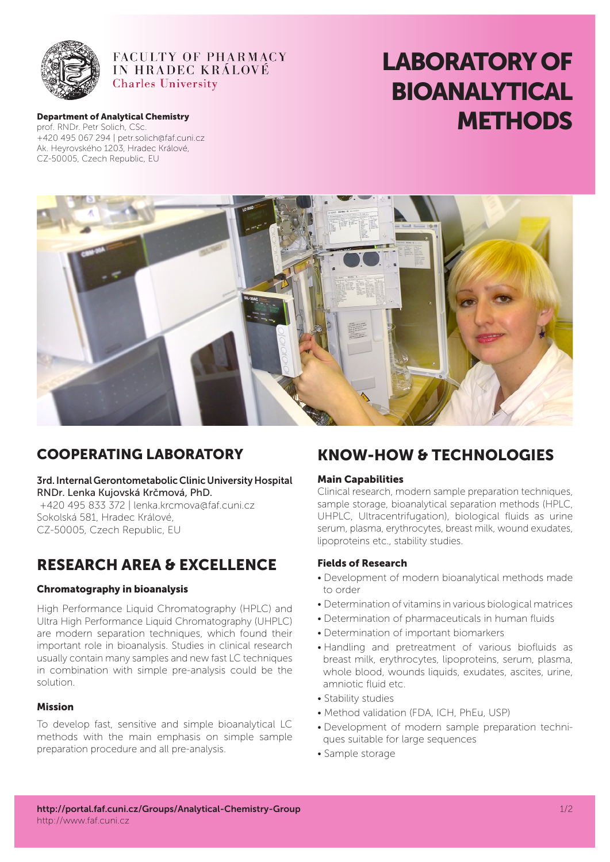

### **FACULTY OF PHARMACY IN HRADEC KRÁLOVÉ Charles University**

# LABORATORY OF BIOANALYTICAL **Department of Analytical Chemistry**<br>Department of Analytical Chemistry<br>Department of Analytical Chemistry

prof. RNDr. Petr Solich, CSc. +420 495 067 294 | petr.solich@faf.cuni.cz Ak. Heyrovského 1203, Hradec Králové, CZ-50005, Czech Republic, EU



### Cooperating Laboratory

3rd. Internal Gerontometabolic Clinic University Hospital RNDr. Lenka Kujovská Krčmová, PhD. +420 495 833 372 | lenka.krcmova@faf.cuni.cz Sokolská 581, Hradec Králové, CZ-50005, Czech Republic, EU

## RESEARCH AREA & EXCELLENCe

#### Chromatography in bioanalysis

High Performance Liquid Chromatography (HPLC) and Ultra High Performance Liquid Chromatography (UHPLC) are modern separation techniques, which found their important role in bioanalysis. Studies in clinical research usually contain many samples and new fast LC techniques in combination with simple pre-analysis could be the solution.

#### Mission

To develop fast, sensitive and simple bioanalytical LC methods with the main emphasis on simple sample preparation procedure and all pre-analysis.

## KNOW-HOW & TECHNOLOGIES

#### Main Capabilities

Clinical research, modern sample preparation techniques, sample storage, bioanalytical separation methods (HPLC, UHPLC, Ultracentrifugation), biological fluids as urine serum, plasma, erythrocytes, breast milk, wound exudates, lipoproteins etc., stability studies.

#### Fields of Research

- Development of modern bioanalytical methods made to order
- Determination of vitamins in various biological matrices
- Determination of pharmaceuticals in human fluids
- Determination of important biomarkers
- Handling and pretreatment of various biofluids as breast milk, erythrocytes, lipoproteins, serum, plasma, whole blood, wounds liquids, exudates, ascites, urine, amniotic fluid etc.
- Stability studies
- Method validation (FDA, ICH, PhEu, USP)
- Development of modern sample preparation techniques suitable for large sequences
- Sample storage